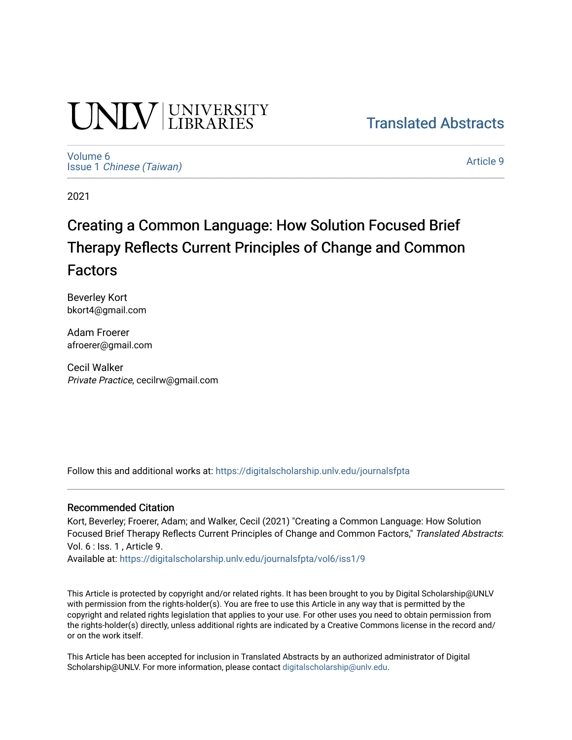# **UNIVERSITY**

[Translated Abstracts](https://digitalscholarship.unlv.edu/journalsfpta) 

[Volume 6](https://digitalscholarship.unlv.edu/journalsfpta/vol6) Issue 1 [Chinese \(Taiwan\)](https://digitalscholarship.unlv.edu/journalsfpta/vol6/iss1)

[Article 9](https://digitalscholarship.unlv.edu/journalsfpta/vol6/iss1/9) 

2021

## Creating a Common Language: How Solution Focused Brief Therapy Reflects Current Principles of Change and Common Factors

Beverley Kort bkort4@gmail.com

Adam Froerer afroerer@gmail.com

Cecil Walker Private Practice, cecilrw@gmail.com

Follow this and additional works at: [https://digitalscholarship.unlv.edu/journalsfpta](https://digitalscholarship.unlv.edu/journalsfpta?utm_source=digitalscholarship.unlv.edu%2Fjournalsfpta%2Fvol6%2Fiss1%2F9&utm_medium=PDF&utm_campaign=PDFCoverPages) 

#### Recommended Citation

Kort, Beverley; Froerer, Adam; and Walker, Cecil (2021) "Creating a Common Language: How Solution Focused Brief Therapy Reflects Current Principles of Change and Common Factors," Translated Abstracts: Vol. 6 : Iss. 1 , Article 9.

Available at: [https://digitalscholarship.unlv.edu/journalsfpta/vol6/iss1/9](https://digitalscholarship.unlv.edu/journalsfpta/vol6/iss1/9?utm_source=digitalscholarship.unlv.edu%2Fjournalsfpta%2Fvol6%2Fiss1%2F9&utm_medium=PDF&utm_campaign=PDFCoverPages)

This Article is protected by copyright and/or related rights. It has been brought to you by Digital Scholarship@UNLV with permission from the rights-holder(s). You are free to use this Article in any way that is permitted by the copyright and related rights legislation that applies to your use. For other uses you need to obtain permission from the rights-holder(s) directly, unless additional rights are indicated by a Creative Commons license in the record and/ or on the work itself.

This Article has been accepted for inclusion in Translated Abstracts by an authorized administrator of Digital Scholarship@UNLV. For more information, please contact [digitalscholarship@unlv.edu.](mailto:digitalscholarship@unlv.edu)